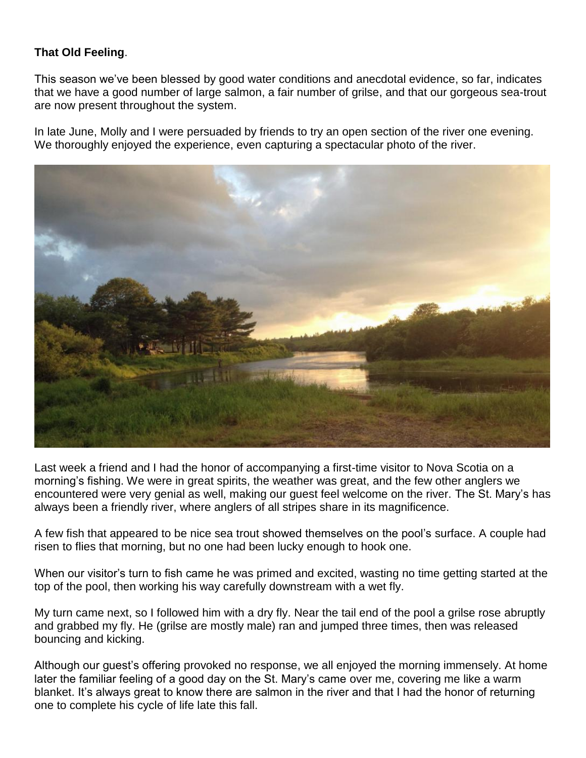## **That Old Feeling**.

This season we've been blessed by good water conditions and anecdotal evidence, so far, indicates that we have a good number of large salmon, a fair number of grilse, and that our gorgeous sea-trout are now present throughout the system.

In late June, Molly and I were persuaded by friends to try an open section of the river one evening. We thoroughly enjoyed the experience, even capturing a spectacular photo of the river.



Last week a friend and I had the honor of accompanying a first-time visitor to Nova Scotia on a morning's fishing. We were in great spirits, the weather was great, and the few other anglers we encountered were very genial as well, making our guest feel welcome on the river. The St. Mary's has always been a friendly river, where anglers of all stripes share in its magnificence.

A few fish that appeared to be nice sea trout showed themselves on the pool's surface. A couple had risen to flies that morning, but no one had been lucky enough to hook one.

When our visitor's turn to fish came he was primed and excited, wasting no time getting started at the top of the pool, then working his way carefully downstream with a wet fly.

My turn came next, so I followed him with a dry fly. Near the tail end of the pool a grilse rose abruptly and grabbed my fly. He (grilse are mostly male) ran and jumped three times, then was released bouncing and kicking.

Although our guest's offering provoked no response, we all enjoyed the morning immensely. At home later the familiar feeling of a good day on the St. Mary's came over me, covering me like a warm blanket. It's always great to know there are salmon in the river and that I had the honor of returning one to complete his cycle of life late this fall.